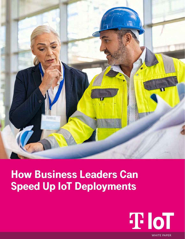

# How Business Leaders Can Speed Up IoT Deployments

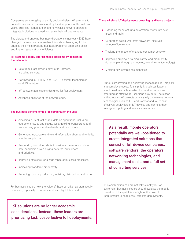Companies are struggling to swiftly deploy wireless IoT solutions to critical business needs, worsened by the disruptions of the last two years. Business leaders are engaging wireless network operators' integrated solutions to speed and scale their IoT deployments.

The abrupt and ongoing business disruptions since early 2020 have changed the way business leaders think about leveraging IoT to address their most pressing business problems: optimizing costs and improving operational efficiency.

#### **IoT systems directly address these problems by combining four elements:**

- Data from a fast-growing array of IoT devices, including sensors.
- Narrowband-IoT, LTE-M, and 4G/LTE network technologies (and 5G in future).
- IoT software applications designed for fast deployment.
- Advanced analytics at the network edge.

#### **The business benefits of this IoT combination include:**

- Amassing current, actionable data on operations, including equipment issues and status, asset tracking, transporting and warehousing goods and materials, and much more.
- Generating up-to-date end-to-end information about and visibility  $\bullet$ into the supply chain.
- Responding to sudden shifts in customer behaviors, such as new, pandemic-driven buying patterns, preferences, and priorities.
- Improving efficiency for a wide range of business processes.
- Increasing workforce productivity.
- Reducing costs in production, logistics, distribution, and more.

For business leaders now, the value of these benefits has dramatically increased, especially in an unprecedented tight labor market.

**IoT solutions are no longer academic considerations. Instead, these leaders are prioritizing fast, cost-effective IoT deployments.**

#### **These wireless IoT deployments cover highly diverse projects:**

- Extending manufacturing automation efforts into new areas and tasks.
- Support so-called work-from-anywhere initiatives for non-office workers.
- **•** Tracking the impact of changed consumer behavior.
- **Improving employee training, safety, and productivity** (for example, through augmented/virtual reality technology).
- Meeting new compliance mandates.

But quickly creating and deploying manageable IoT projects is a complex process. To simplify it, business leaders should evaluate mobile network operators, which are emerging as effective IoT solutions providers. The reason is that today's IoT projects typically rely on wireless network technologies such as LTE and Narrowband-IoT to costeffectively deploy lots of IoT devices and connect them to edge computing and analytical resources.

**As a result, mobile operators potentially are well-positioned to create integrated solutions that consist of IoT device companies, software vendors, the operators' networking technologies, and management tools, and a full set of consulting services.**

This combination can dramatically simplify IoT for customers. Business leaders should evaluate the mobile operators' IoT capabilities in light of their own IoT requirements to enable fast, targeted deployments.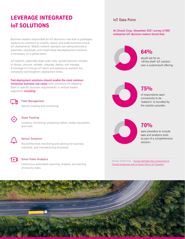## LEVERAGE INTEGRATED IoT SOLUTIONS

Business leaders responsible for IoT decisions now look to packaged, ready-to-run solutions to simplify, speed, and scale business-critical IoT deployments. Mobile network operators are well-positioned to assemble, coordinate, and install these fast-deployment solutions, if necessary, on a global basis.

IoT systems, especially large-scale ones, quickly become complex to design, procure, validate, integrate, deploy, and manage. A shortage of in-house IoT talent and experience worsens the complexity and lengthens deployment times.

**Fast-deployment solutions should enable the most common horizontal business use cases** (with provisions for adapting them to specific business requirements in vertical market segments) **including:**



#### Fleet Management

Vehicle locating and monitoring.



#### Asset Tracking

Locating, monitoring, protecting trailers, power equipment, and more.



#### Sensor Solutions

Round-the-clock monitoring and alerting for business, industrial, and manufacturing processes.

#### Smart Video Analytics

Continuous automated scanning, analysis, and alerting of security video.

### **IoT Data Point**

**An Oracle Corp. November 2021 survey of 800 enterprise IoT decision makers found that:**



## 64%

would opt for an 'off-the-shelf' IoT solution over a custom-built offering.



## 75%

of respondents want connectivity to be 'baked-in' or bundled by the solution provider.



## 70%

want providers to include data and analytics tools as part of a comprehensive solution.

Source: Oracle Corp., "[Survey Highlights Key Components to](https://www.oracle.com/emea/news/announcement/oracle-transforma-insights-enterprise-iot-adoption-survey-2021-11-10/) [Provide Enterprises with an Easier Path to IoT Adoption](https://www.oracle.com/emea/news/announcement/oracle-transforma-insights-enterprise-iot-adoption-survey-2021-11-10/)"

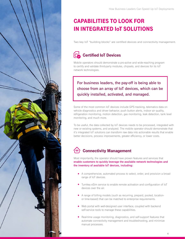## CAPABILITIES TO LOOK FOR IN INTEGRATED IoT SOLUTIONS

Two key IoT "building blocks" are certified devices and connectivity management.



Mobile operators should demonstrate a pro-active and wide-reaching program to certify and validate third-party modules, chipsets, and devices for its IoT network technologies.

## **For business leaders, the pay-off is being able to choose from an array of IoT devices, which can be quickly installed, activated, and managed.**

Some of the most common IoT devices include GPS tracking, telematics data on vehicle diagnostics and driver behavior, push button alerts, indoor air quality, refrigeration monitoring, motion detection, gas monitoring, leak detection, tank level monitoring, and much more.

To be useful, the data collected by IoT devices needs to be processed, integrated with new or existing systems, and analyzed. The mobile operator should demonstrate that it's integrated IoT solutions can transform raw data into actionable results that enable better decisions, process improvements, greater efficiency, or lower costs.

## Connectivity Management

Most importantly, the operator should have proven features and services that **enable customers to quickly leverage the available network technologies and the inventory of available IoT devices, including:** 

- A comprehensive, automated process to select, order, and provision a broad range of IoT devices.
- Turnkey eSim service to enable remote activation and configuration of IoT devices over the air.
- A range of billing models (such as recurring, prepaid, pooled, locationor time-based) that can be matched to enterprise requirements.
- Web portal with well-designed user interface, coupled with backend self-service tools to manage these capabilities.
- Real-time usage monitoring, diagnostics, and self-support features that automate connectivity management and troubleshooting, and minimize manual processes.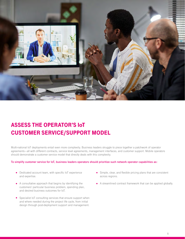

## ASSESS THE OPERATOR'S IoT CUSTOMER SERVICE/SUPPORT MODEL

Multi-national IoT deployments entail even more complexity. Business leaders struggle to piece together a patchwork of operator agreements—all with different contracts, service level agreements, management interfaces, and customer support. Mobile operators should demonstrate a customer service model that directly deals with this complexity.

#### **To simplify customer service for IoT, business leaders operators should prioritize such network operator capabilities as:**

- Dedicated account team, with specific IoT experience and expertise.
- A consultative approach that begins by identifying the customers' particular business problem, spending plan, and desired business outcomes for IoT.
- Specialist IoT consulting services that ensure support when and where needed during the project life cycle, from initial design through post-deployment support and management.
- Simple, clear, and flexible pricing plans that are consistent across regions.
- A streamlined contract framework that can be applied globally.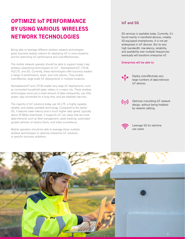## OPTIMIZE IoT PERFORMANCE BY USING VARIOUS WIRELESS NETWORK TECHNOLOGIES

Being able to leverage different wireless network technologies gives business leaders options for deploying IoT in more locations and for optimizing IoT performance and cost-effectiveness.

The mobile network operator should be able to support today's key wireless networking technologies for IoT – Narrowband-IoT, LTE-M, 4G/LTE, and 5G. Currently, these technologies offer business leaders a range of performance, reach, and cost options. They enable cost-effective, large-scale IoT deployments in multiple locations.

Narrowband-IoT and LTE-M enable very large IoT deployments, such as connected household water meters in a major city. These wireless technologies send just a small amount of data infrequently, use little power, stay connected for a long time, and are relatively low-cost.

The majority of IoT solutions today use 4G LTE, a highly capable, reliable, and widely available technology. Compared to the earlier 3G, it features lower latency and a much higher data speed, typically about 20 Mbps downloads. It supports IoT use cases that are more data-intensive such as fleet management, asset tracking, automated guided vehicles on factory floors, and video surveillance.

Mobile operators should be able to leverage these multiple wireless technologies to optimize enterprise IoT solutions to specific business problems.

## **IoT and 5G**

5G services is available today. Currently, it's found mainly in handheld devices, notably 5G-equipped smartphones. It is not yet widespread in IoT devices. But its very high bandwidth, low-latency, reliability, and availability over multiple frequencies eventually will transform enterprise IoT.

#### **Enterprises will be able to:**

Deploy cost-effectively very large numbers of data-intensive IoT devices.

 $((\gamma))$ 

Optimize in-building IoT network design, without being hobbled by network cabling.



Leverage 5G for real-time use cases.